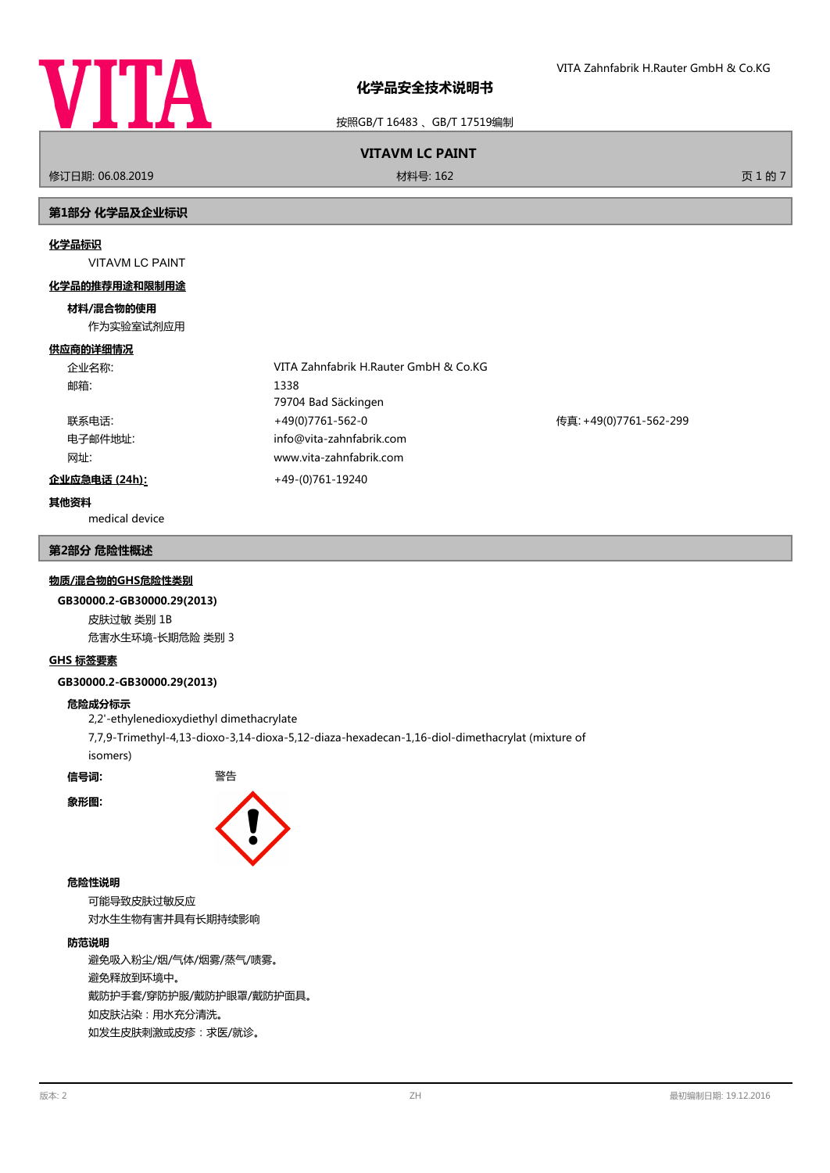

按照GB/T 16483 、GB/T 17519编制

# **VITAVM LC PAINT**

修订日期: 06.08.2019 材料号: 162 页 1 的 7

# **第1部分 化学品及企业标识**

#### **化学品标识**

VITAVM LC PAINT

#### **化学品的推荐用途和限制用途**

#### **材料/混合物的使用**

作为实验室试剂应用

#### **供应商的详细情况**

| 企业名称:         | VITA Zahnfabrik H.Rauter GmbH & Co.KG |                        |
|---------------|---------------------------------------|------------------------|
| 邮箱:           | 1338                                  |                        |
|               | 79704 Bad Säckingen                   |                        |
| 联系电话:         | +49(0)7761-562-0                      | 传真: +49(0)7761-562-299 |
| 电子邮件地址:       | info@vita-zahnfabrik.com              |                        |
| 网址:           | www.vita-zahnfabrik.com               |                        |
| 企业应急电话 (24h): | +49-(0)761-19240                      |                        |

# **其他资料**

medical device

#### **第2部分 危险性概述**

#### **物质/混合物的GHS危险性类别**

#### **GB30000.2-GB30000.29(2013)**

皮肤过敏 类别 1B 危害水生环境-长期危险 类别 3

#### **GHS 标签要素**

#### **GB30000.2-GB30000.29(2013)**

#### **危险成分标示**

2,2'-ethylenedioxydiethyl dimethacrylate 7,7,9-Trimethyl-4,13-dioxo-3,14-dioxa-5,12-diaza-hexadecan-1,16-diol-dimethacrylat (mixture of isomers)

**信号词:** 警告

**象形图:**



#### **危险性说明**

可能导致皮肤过敏反应 对水生生物有害并具有长期持续影响

#### **防范说明**

避免吸入粉尘/烟/气体/烟雾/蒸气/啧雾。 避免释放到环境中。 戴防护手套/穿防护服/戴防护眼罩/戴防护面具。 如皮肤沾染:用水充分清洗。 如发生皮肤刺激或皮疹:求医/就诊。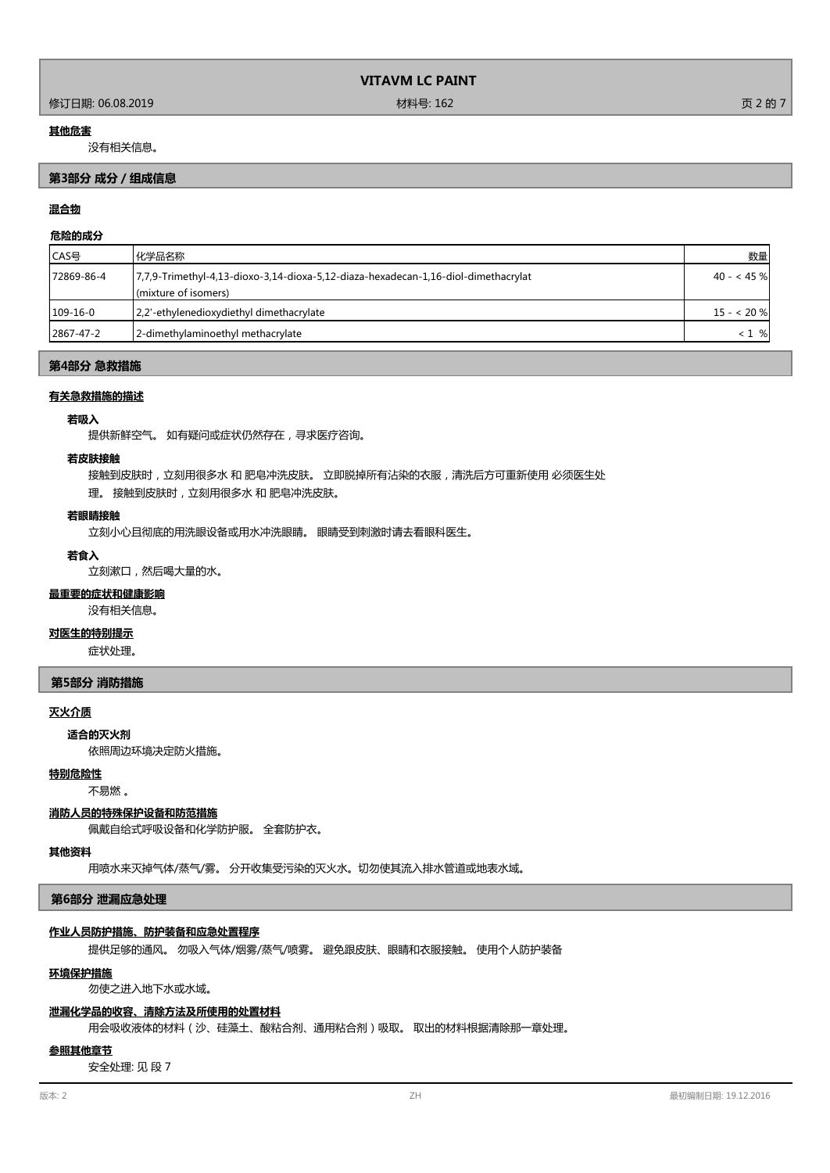### 修订日期: 06.08.2019 材料号: 162 页 2 的 7

#### **其他危害**

没有相关信息。

## **第3部分 成分/组成信息**

# **混合物**

## **危险的成分**

| ICAS号      | 化学品名称                                                                                                      | 数量          |
|------------|------------------------------------------------------------------------------------------------------------|-------------|
| 72869-86-4 | 7,7,9-Trimethyl-4,13-dioxo-3,14-dioxa-5,12-diaza-hexadecan-1,16-diol-dimethacrylat<br>(mixture of isomers) | $40 - 45$ % |
| $109-16-0$ | 2,2'-ethylenedioxydiethyl dimethacrylate                                                                   | $15 - 20%$  |
| 2867-47-2  | 2-dimethylaminoethyl methacrylate                                                                          | $< 1$ %     |

#### **第4部分 急救措施**

#### **有关急救措施的描述**

#### **若吸入**

提供新鲜空气。 如有疑问或症状仍然存在,寻求医疗咨询。

#### **若皮肤接触**

接触到皮肤时,立刻用很多水 和 肥皂冲洗皮肤。 立即脱掉所有沾染的衣服,清洗后方可重新使用 必须医生处

理。 接触到皮肤时,立刻用很多水 和 肥皂冲洗皮肤。

#### **若眼睛接触**

立刻小心且彻底的用洗眼设备或用水冲洗眼睛。 眼睛受到刺激时请去看眼科医生。

## **若食入**

立刻漱口,然后喝大量的水。

# **最重要的症状和健康影响**

没有相关信息。

## **对医生的特别提示**

症状处理。

#### **第5部分 消防措施**

#### **灭火介质**

依照周边环境决定防火措施。 **适合的灭火剂**

#### **特别危险性**

不易燃 。

#### **消防人员的特殊保护设备和防范措施**

佩戴自给式呼吸设备和化学防护服。 全套防护衣。

#### **其他资料**

用喷水来灭掉气体/蒸气/雾。 分开收集受污染的灭火水。切勿使其流入排水管道或地表水域。

#### **第6部分 泄漏应急处理**

#### **作业人员防护措施、防护装备和应急处置程序**

提供足够的通风。 勿吸入气体/烟雾/蒸气/喷雾。 避免跟皮肤、眼睛和衣服接触。 使用个人防护装备

#### **环境保护措施**

勿使之进入地下水或水域。

#### **泄漏化学品的收容、清除方法及所使用的处置材料**

用会吸收液体的材料(沙、硅藻土、酸粘合剂、通用粘合剂)吸取。 取出的材料根据清除那一章处理。

#### **参照其他章节**

安全处理: 见 段 7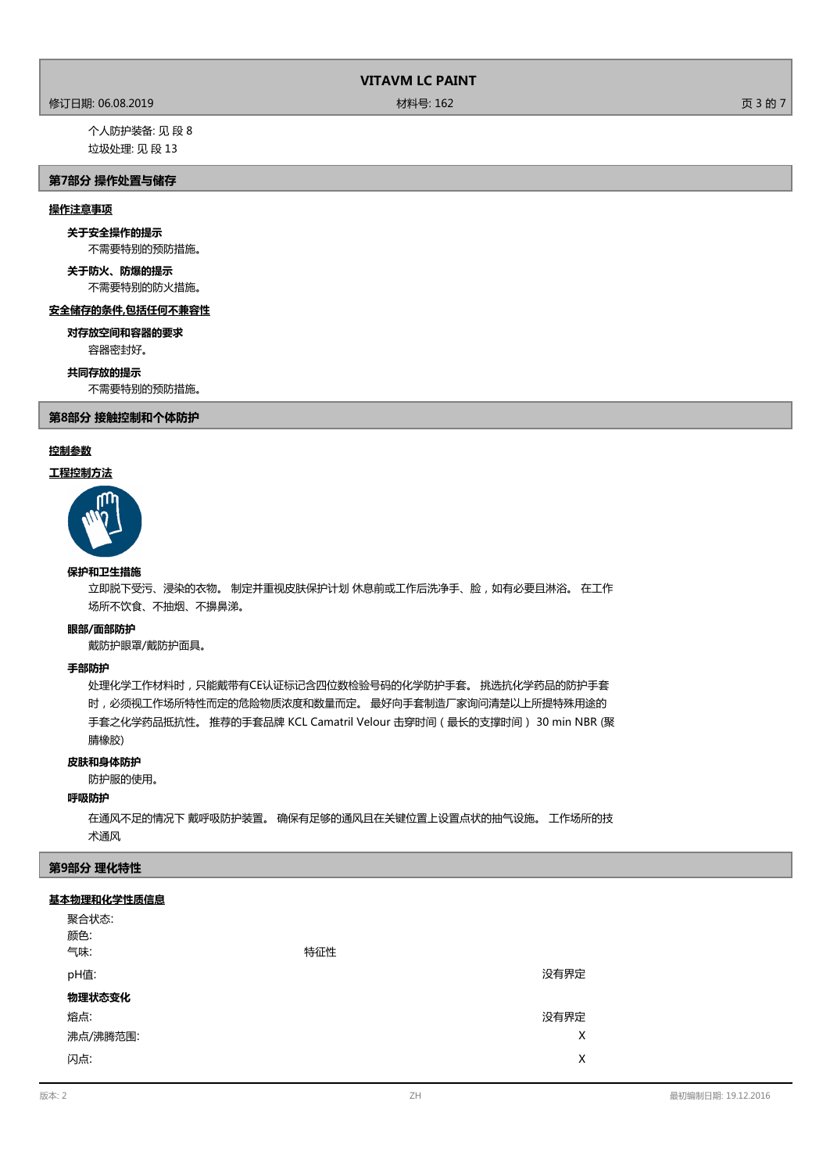# 修订日期: 06.08.2019 材料号: 162 页 3 的 7

个人防护装备: 见 段 8 垃圾处理: 见 段 13

# **第7部分 操作处置与储存**

## **操作注意事项**

# **关于安全操作的提示**

不需要特别的预防措施。

# **关于防火、防爆的提示**

不需要特别的防火措施。

# **安全储存的条件,包括任何不兼容性**

容器密封好。 **对存放空间和容器的要求**

#### **共同存放的提示**

不需要特别的预防措施。

**第8部分 接触控制和个体防护**

# **控制参数**

# **工程控制方法**



#### **保护和卫生措施**

立即脱下受污、浸染的衣物。 制定并重视皮肤保护计划 休息前或工作后洗净手、脸,如有必要且淋浴。 在工作 场所不饮食、不抽烟、不擤鼻涕。

#### **眼部/面部防护**

戴防护眼罩/戴防护面具。

#### **手部防护**

处理化学工作材料时,只能戴带有CE认证标记含四位数检验号码的化学防护手套。 挑选抗化学药品的防护手套 时,必须视工作场所特性而定的危险物质浓度和数量而定。 最好向手套制造厂家询问清楚以上所提特殊用途的 手套之化学药品抵抗性。 推荐的手套品牌 KCL Camatril Velour 击穿时间(最长的支撑时间) 30 min NBR (聚 腈橡胶)

## **皮肤和身体防护**

防护服的使用。

#### **呼吸防护**

在通风不足的情况下 戴呼吸防护装置。 确保有足够的通风且在关键位置上设置点状的抽气设施。 工作场所的技 术通风

#### **第9部分 理化特性**

#### **基本物理和化学性质信息**

| 聚合状态:<br>颜色:<br>气味: | 特征性 |      |
|---------------------|-----|------|
| pH值:                |     | 没有界定 |
| 物理状态变化              |     |      |
| 熔点:                 |     | 没有界定 |
| 沸点/沸腾范围:            |     | X    |
| 闪点:                 |     | X    |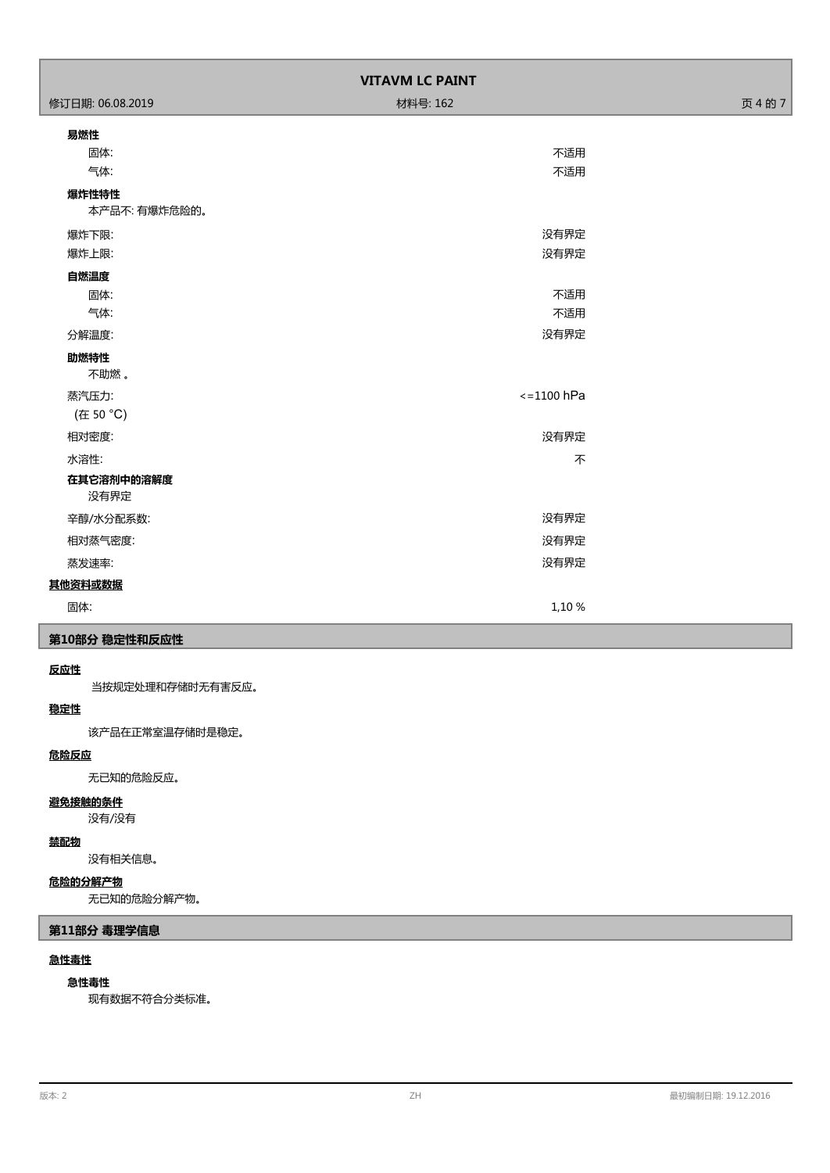| <b>VITAVM LC PAINT</b> |              |         |  |
|------------------------|--------------|---------|--|
| 修订日期: 06.08.2019       | 材料号: 162     | 页 4 的 7 |  |
| 易燃性                    |              |         |  |
| 固体:                    | 不适用          |         |  |
| 气体:                    | 不适用          |         |  |
| 爆炸性特性<br>本产品不: 有爆炸危险的。 |              |         |  |
| 爆炸下限:                  | 没有界定         |         |  |
| 爆炸上限:                  | 没有界定         |         |  |
| 自燃温度                   |              |         |  |
| 固体:                    | 不适用          |         |  |
| 气体:                    | 不适用          |         |  |
| 分解温度:                  | 没有界定         |         |  |
| 助燃特性<br>不助燃。           |              |         |  |
| 蒸汽压力:                  | $<=1100$ hPa |         |  |
| (在 50 °C)              |              |         |  |
| 相对密度:                  | 没有界定         |         |  |
| 水溶性:                   | 不            |         |  |
| 在其它溶剂中的溶解度<br>没有界定     |              |         |  |
| 辛醇/水分配系数:              | 没有界定         |         |  |
| 相对蒸气密度:                | 没有界定         |         |  |
| 蒸发速率:                  | 没有界定         |         |  |
| 其他资料或数据                |              |         |  |
| 固体:                    | 1,10 %       |         |  |

# **第10部分 稳定性和反应性**

# **反应性**

当按规定处理和存储时无有害反应。

# **稳定性**

该产品在正常室温存储时是稳定。

# **危险反应**

无已知的危险反应。

# **避免接触的条件**

没有/没有

### **禁配物**

没有相关信息。

# **危险的分解产物**

无已知的危险分解产物。

# **第11部分 毒理学信息**

# **急性毒性**

# **急性毒性**

现有数据不符合分类标准。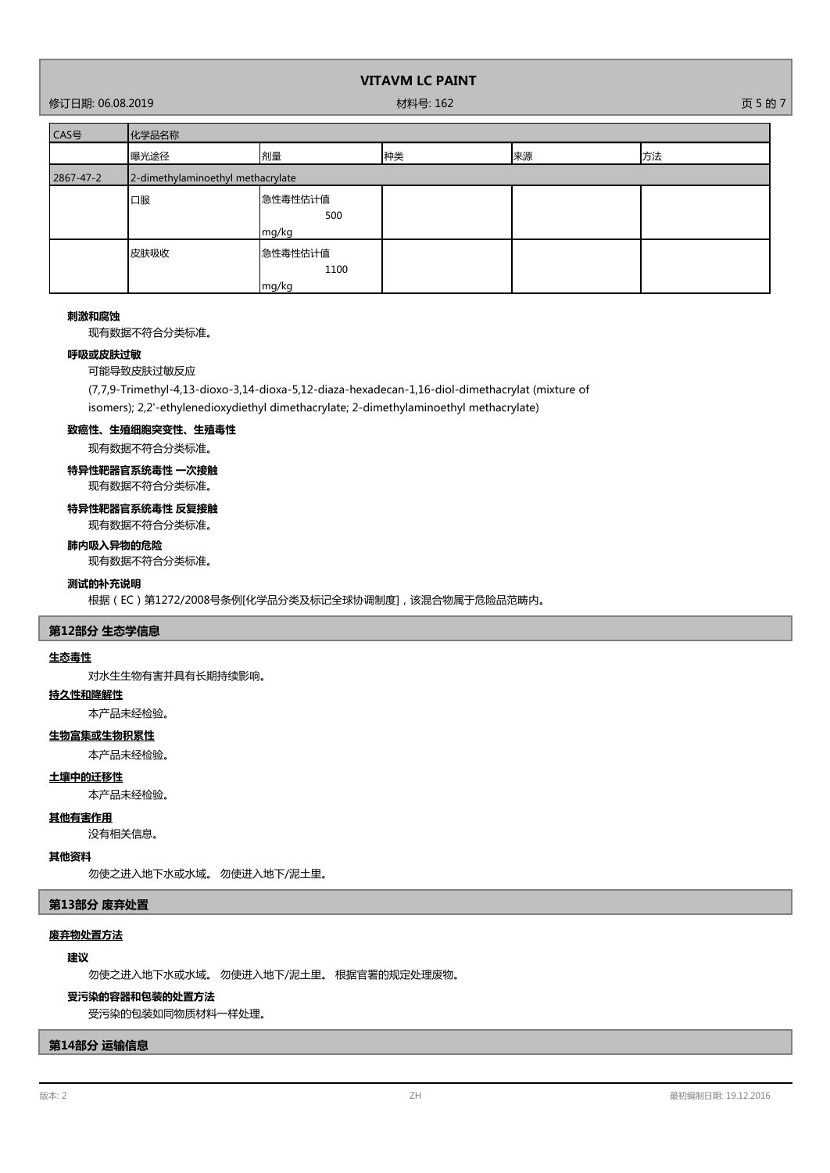修订日期: 06.08.2019 材料号: 162 页 5 的 7

| CAS号      | 化学品名称                             |                          |    |    |    |
|-----------|-----------------------------------|--------------------------|----|----|----|
|           | 曝光途径                              | 剂量                       | 种类 | 来源 | 方法 |
| 2867-47-2 | 2-dimethylaminoethyl methacrylate |                          |    |    |    |
|           | 口服                                | 急性毒性估计值<br>500<br>mg/kg  |    |    |    |
|           | 皮肤吸收                              | 急性毒性估计值<br>1100<br>mg/kg |    |    |    |

#### **刺激和腐蚀**

现有数据不符合分类标准。

### **呼吸或皮肤过敏**

可能导致皮肤过敏反应

(7,7,9-Trimethyl-4,13-dioxo-3,14-dioxa-5,12-diaza-hexadecan-1,16-diol-dimethacrylat (mixture of

isomers); 2,2'-ethylenedioxydiethyl dimethacrylate; 2-dimethylaminoethyl methacrylate)

# **致癌性、生殖细胞突变性、生殖毒性**

现有数据不符合分类标准。

# **特异性靶器官系统毒性 一次接触**

现有数据不符合分类标准。

# **特异性靶器官系统毒性 反复接触**

现有数据不符合分类标准。

# **肺内吸入异物的危险**

现有数据不符合分类标准。

# **测试的补充说明**

根据(EC)第1272/2008号条例[化学品分类及标记全球协调制度],该混合物属于危险品范畴内。

# **第12部分 生态学信息**

#### **生态毒性**

对水生生物有害并具有长期持续影响。

# **持久性和降解性**

本产品未经检验。

# **生物富集或生物积累性**

本产品未经检验。

# **土壤中的迁移性**

本产品未经检验。

### **其他有害作用**

没有相关信息。

### **其他资料**

勿使之进入地下水或水域。 勿使进入地下/泥土里。

# **第13部分 废弃处置**

# **废弃物处置方法**

### **建议**

勿使之进入地下水或水域。 勿使进入地下/泥土里。 根据官署的规定处理废物。

#### **受污染的容器和包装的处置方法**

受污染的包装如同物质材料一样处理。

## **第14部分 运输信息**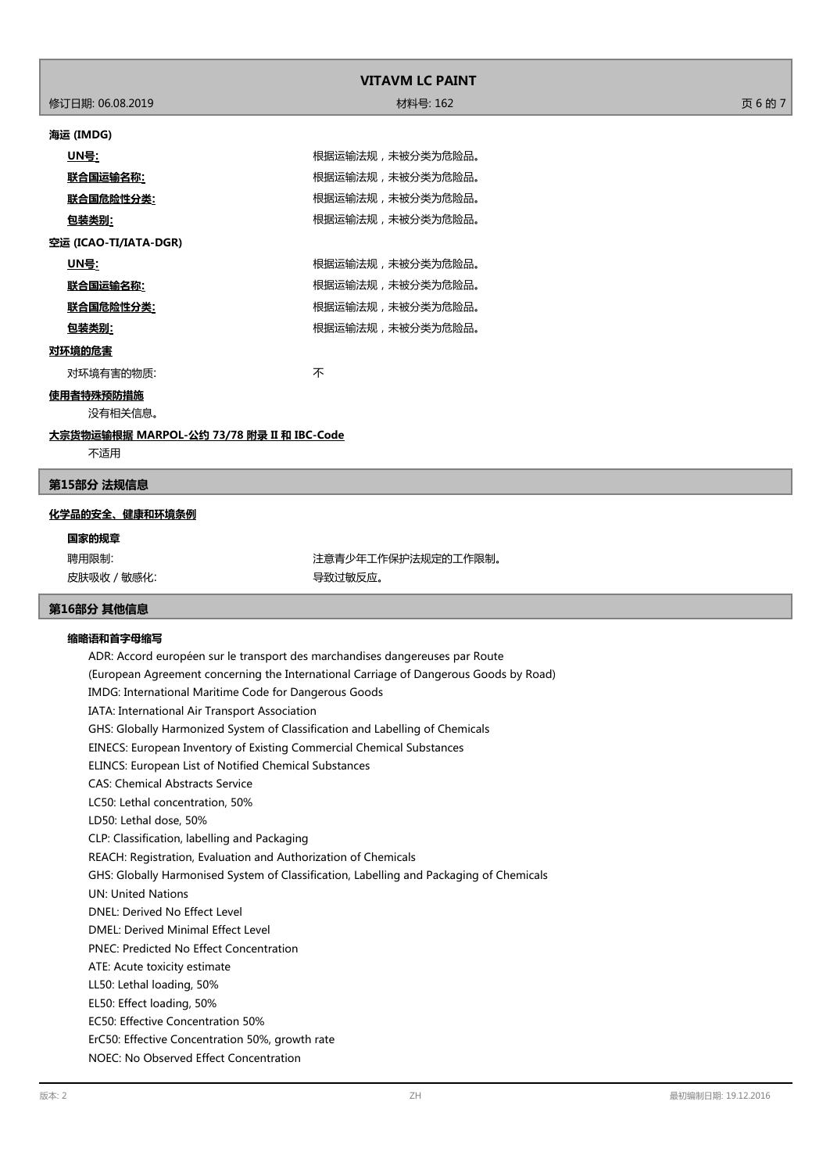|                                           | <b>VITAVM LC PAINT</b> |         |
|-------------------------------------------|------------------------|---------|
| 修订日期: 06.08.2019                          | 材料号: 162               | 页 6 的 7 |
| 海运 (IMDG)                                 |                        |         |
| <u>UN号:</u>                               | 根据运输法规,未被分类为危险品。       |         |
| <u> 联合国运输名称:</u>                          | 根据运输法规,未被分类为危险品。       |         |
| 联合国危险性分类:                                 | 根据运输法规,未被分类为危险品。       |         |
| <u>包装类别:</u>                              | 根据运输法规,未被分类为危险品。       |         |
| 空运 (ICAO-TI/IATA-DGR)                     |                        |         |
| <u> UN号:</u>                              | 根据运输法规,未被分类为危险品。       |         |
| 联合国运输名称:                                  | 根据运输法规,未被分类为危险品。       |         |
| 联合国危险性分类:                                 | 根据运输法规,未被分类为危险品。       |         |
| 包装类别:                                     | 根据运输法规,未被分类为危险品。       |         |
| 对环境的危害                                    |                        |         |
| 对环境有害的物质:                                 | 不                      |         |
| 使用者特殊预防措施<br>没有相关信息。                      |                        |         |
| 大宗货物运输根据 MARPOL-公约 73/78 附录 II 和 IBC-Code |                        |         |
| 不适用                                       |                        |         |

# **第15部分 法规信息**

#### **化学品的安全、健康和环境条例**

**国家的规章**

皮肤吸收 / 敏感化: インチング インチング マンクロ マンクリン 导致过敏反应。

聘用限制: 第六十四章 第二十四章 第二十一章 注意青少年工作保护法规定的工作限制。

# **第16部分 其他信息**

# **缩略语和首字母缩写**

ADR: Accord européen sur le transport des marchandises dangereuses par Route (European Agreement concerning the International Carriage of Dangerous Goods by Road) IMDG: International Maritime Code for Dangerous Goods IATA: International Air Transport Association GHS: Globally Harmonized System of Classification and Labelling of Chemicals EINECS: European Inventory of Existing Commercial Chemical Substances ELINCS: European List of Notified Chemical Substances CAS: Chemical Abstracts Service LC50: Lethal concentration, 50% LD50: Lethal dose, 50% CLP: Classification, labelling and Packaging REACH: Registration, Evaluation and Authorization of Chemicals GHS: Globally Harmonised System of Classification, Labelling and Packaging of Chemicals UN: United Nations DNEL: Derived No Effect Level DMEL: Derived Minimal Effect Level PNEC: Predicted No Effect Concentration ATE: Acute toxicity estimate LL50: Lethal loading, 50% EL50: Effect loading, 50% EC50: Effective Concentration 50% ErC50: Effective Concentration 50%, growth rate NOEC: No Observed Effect Concentration